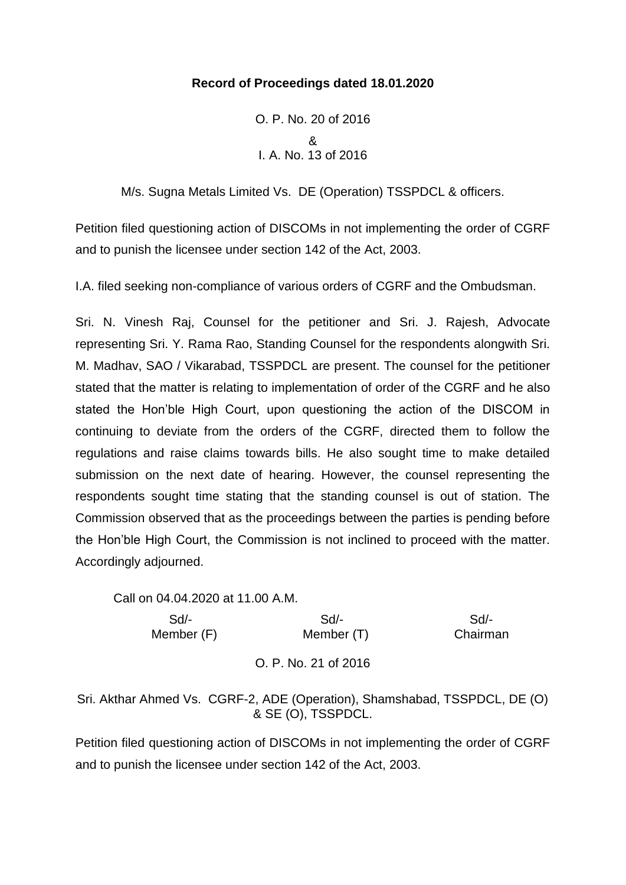## **Record of Proceedings dated 18.01.2020**

O. P. No. 20 of 2016 & I. A. No. 13 of 2016

M/s. Sugna Metals Limited Vs. DE (Operation) TSSPDCL & officers.

Petition filed questioning action of DISCOMs in not implementing the order of CGRF and to punish the licensee under section 142 of the Act, 2003.

I.A. filed seeking non-compliance of various orders of CGRF and the Ombudsman.

Sri. N. Vinesh Raj, Counsel for the petitioner and Sri. J. Rajesh, Advocate representing Sri. Y. Rama Rao, Standing Counsel for the respondents alongwith Sri. M. Madhav, SAO / Vikarabad, TSSPDCL are present. The counsel for the petitioner stated that the matter is relating to implementation of order of the CGRF and he also stated the Hon'ble High Court, upon questioning the action of the DISCOM in continuing to deviate from the orders of the CGRF, directed them to follow the regulations and raise claims towards bills. He also sought time to make detailed submission on the next date of hearing. However, the counsel representing the respondents sought time stating that the standing counsel is out of station. The Commission observed that as the proceedings between the parties is pending before the Hon'ble High Court, the Commission is not inclined to proceed with the matter. Accordingly adjourned.

Call on 04.04.2020 at 11.00 A.M.

 Sd/- Sd/- Sd/- Member (F) Member (T) Chairman

O. P. No. 21 of 2016

Sri. Akthar Ahmed Vs. CGRF-2, ADE (Operation), Shamshabad, TSSPDCL, DE (O) & SE (O), TSSPDCL.

Petition filed questioning action of DISCOMs in not implementing the order of CGRF and to punish the licensee under section 142 of the Act, 2003.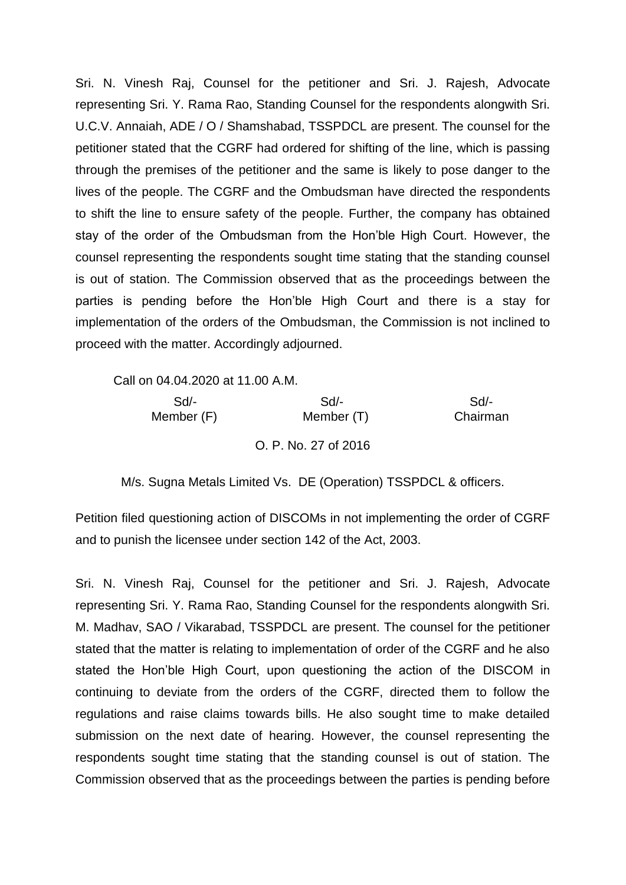Sri. N. Vinesh Raj, Counsel for the petitioner and Sri. J. Rajesh, Advocate representing Sri. Y. Rama Rao, Standing Counsel for the respondents alongwith Sri. U.C.V. Annaiah, ADE / O / Shamshabad, TSSPDCL are present. The counsel for the petitioner stated that the CGRF had ordered for shifting of the line, which is passing through the premises of the petitioner and the same is likely to pose danger to the lives of the people. The CGRF and the Ombudsman have directed the respondents to shift the line to ensure safety of the people. Further, the company has obtained stay of the order of the Ombudsman from the Hon'ble High Court. However, the counsel representing the respondents sought time stating that the standing counsel is out of station. The Commission observed that as the proceedings between the parties is pending before the Hon'ble High Court and there is a stay for implementation of the orders of the Ombudsman, the Commission is not inclined to proceed with the matter. Accordingly adjourned.

Call on 04.04.2020 at 11.00 A.M.

 Sd/- Sd/- Sd/- Member (F) Member (T) Chairman O. P. No. 27 of 2016

M/s. Sugna Metals Limited Vs. DE (Operation) TSSPDCL & officers.

Petition filed questioning action of DISCOMs in not implementing the order of CGRF and to punish the licensee under section 142 of the Act, 2003.

Sri. N. Vinesh Raj, Counsel for the petitioner and Sri. J. Rajesh, Advocate representing Sri. Y. Rama Rao, Standing Counsel for the respondents alongwith Sri. M. Madhav, SAO / Vikarabad, TSSPDCL are present. The counsel for the petitioner stated that the matter is relating to implementation of order of the CGRF and he also stated the Hon'ble High Court, upon questioning the action of the DISCOM in continuing to deviate from the orders of the CGRF, directed them to follow the regulations and raise claims towards bills. He also sought time to make detailed submission on the next date of hearing. However, the counsel representing the respondents sought time stating that the standing counsel is out of station. The Commission observed that as the proceedings between the parties is pending before